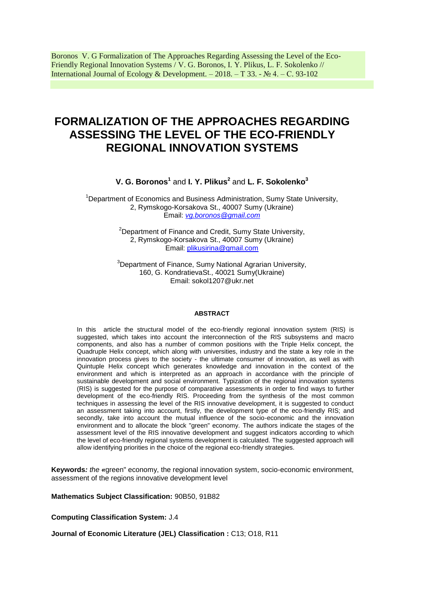Boronos V. G Formalization of The Approaches Regarding Assessing the Level of the Eco-Friendly Regional Innovation Systems / V. G. Boronos, I. Y. Plikus, L. F. Sokolenko // International Journal of Ecology & Development. – 2018. – Т 33. - № 4. – С. 93-102

# **FORMALIZATION OF THE APPROACHES REGARDING ASSESSING THE LEVEL OF THE ECO-FRIENDLY REGIONAL INNOVATION SYSTEMS**

# **V. G. Boronos<sup>1</sup>** and **I. Y. Plikus<sup>2</sup>** and **L. F. Sokolenko<sup>3</sup>**

<sup>1</sup>Department of Economics and Business Administration, Sumy State University, 2, Rymskogo-Korsakova St., 40007 Sumy (Ukraine) Email: *[vg.boronos@gmail.com](mailto:vg.boronos@gmail.com)*

> $2$ Department of Finance and Credit, Sumy State University, 2, Rymskogo-Korsakova St., 40007 Sumy (Ukraine) Email: [plikusirina@gmail.com](mailto:plikusirina@gmail.com)

> <sup>3</sup>Department of Finance, Sumy National Agrarian University, 160, G. KondratievaSt., 40021 Sumy(Ukraine) Email: [sokol1207@ukr.net](mailto:sokol1207@ukr.net)

#### **ABSTRACT**

In this article the structural model of the eco-friendly regional innovation system (RIS) is suggested, which takes into account the interconnection of the RIS subsystems and macro components, and also has a number of common positions with the Triple Helix concept, the Quadruple Helix concept, which along with universities, industry and the state a key role in the innovation process gives to the society - the ultimate consumer of innovation, as well as with Quintuple Helix concept which generates knowledge and innovation in the context of the environment and which is interpreted as an approach in accordance with the principle of sustainable development and social environment. Typization of the regional innovation systems (RIS) is suggested for the purpose of comparative assessments in order to find ways to further development of the eco-friendly RIS. Proceeding from the synthesis of the most common techniques in assessing the level of the RIS innovative development, it is suggested to conduct an assessment taking into account, firstly, the development type of the eco-friendly RIS; and secondly, take into account the mutual influence of the socio-economic and the innovation environment and to allocate the block "green" economy. The authors indicate the stages of the assessment level of the RIS innovative development and suggest indicators according to which the level of eco-friendly regional systems development is calculated. The suggested approach will allow identifying priorities in the choice of the regional eco-friendly strategies.

**Keywords***: the «*green" economy, the regional innovation system, socio-economic environment, assessment of the regions innovative development level

**Mathematics Subject Classification:** 90B50, 91B82

**Computing Classification System:** J.4

**Journal of Economic Literature (JEL) Classification :** C13; O18, R11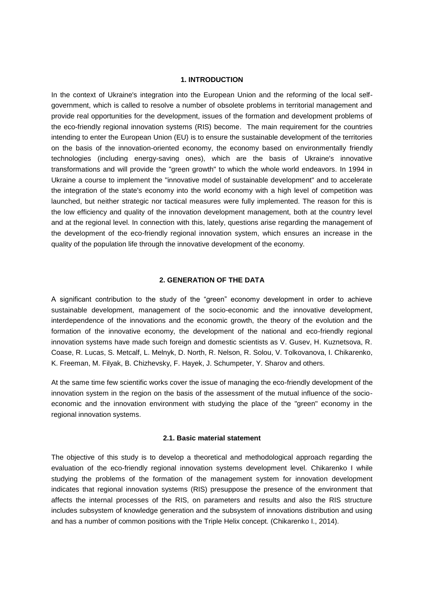# **1. INTRODUCTION**

In the context of Ukraine's integration into the European Union and the reforming of the local selfgovernment, which is called to resolve a number of obsolete problems in territorial management and provide real opportunities for the development, issues of the formation and development problems of the eco-friendly regional innovation systems (RIS) become. The main requirement for the countries intending to enter the European Union (EU) is to ensure the sustainable development of the territories on the basis of the innovation-oriented economy, the economy based on environmentally friendly technologies (including energy-saving ones), which are the basis of Ukraine's innovative transformations and will provide the "green growth" to which the whole world endeavors. In 1994 in Ukraine a course to implement the "innovative model of sustainable development" and to accelerate the integration of the state's economy into the world economy with a high level of competition was launched, but neither strategic nor tactical measures were fully implemented. The reason for this is the low efficiency and quality of the innovation development management, both at the country level and at the regional level. In connection with this, lately, questions arise regarding the management of the development of the eco-friendly regional innovation system, which ensures an increase in the quality of the population life through the innovative development of the economy.

# **2. GENERATION OF THE DATA**

A significant contribution to the study of the "green" economy development in order to achieve sustainable development, management of the socio-economic and the innovative development, interdependence of the innovations and the economic growth, the theory of the evolution and the formation of the innovative economy, the development of the national and eco-friendly regional innovation systems have made such foreign and domestic scientists as V. Gusev, H. Kuznetsova, R. Coase, R. Lucas, S. Metcalf, L. Melnyk, D. North, R. Nelson, R. Solou, V. Tolkovanova, I. Chikarenko, K. Freeman, M. Filyak, B. Chizhevsky, F. Hayek, J. Schumpeter, Y. Sharov and others.

At the same time few scientific works cover the issue of managing the eco-friendly development of the innovation system in the region on the basis of the assessment of the mutual influence of the socioeconomic and the innovation environment with studying the place of the "green" economy in the regional innovation systems.

# **2.1. Basic material statement**

The objective of this study is to develop a theoretical and methodological approach regarding the evaluation of the eco-friendly regional innovation systems development level. Chikarenko I while studying the problems of the formation of the management system for innovation development indicates that regional innovation systems (RIS) presuppose the presence of the environment that affects the internal processes of the RIS, on parameters and results and also the RIS structure includes subsystem of knowledge generation and the subsystem of innovations distribution and using and has a number of common positions with the Triple Helix concept. (Chikarenko I., 2014).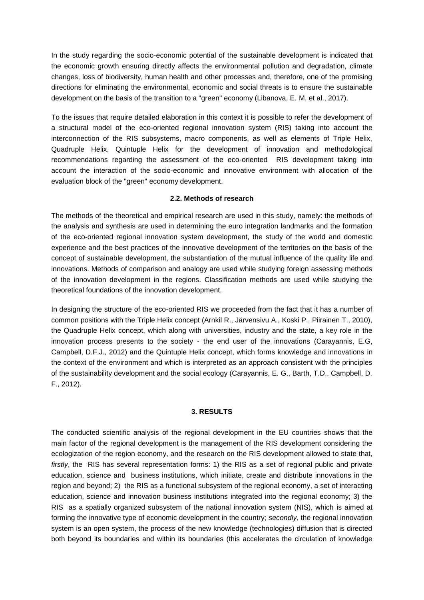In the study regarding the socio-economic potential of the sustainable development is indicated that the economic growth ensuring directly affects the environmental pollution and degradation, climate changes, loss of biodiversity, human health and other processes and, therefore, one of the promising directions for eliminating the environmental, economic and social threats is to ensure the sustainable development on the basis of the transition to a "green" economy (Libanova, E. M, et al., 2017).

To the issues that require detailed elaboration in this context it is possible to refer the development of a structural model of the eco-oriented regional innovation system (RIS) taking into account the interconnection of the RIS subsystems, macro components, as well as elements of Triple Helix, Quadruple Helix, Quintuple Helix for the development of innovation and methodological recommendations regarding the assessment of the eco-oriented RIS development taking into account the interaction of the socio-economic and innovative environment with allocation of the evaluation block of the "green" economy development.

# **2.2. Methods of research**

The methods of the theoretical and empirical research are used in this study, namely: the methods of the analysis and synthesis are used in determining the euro integration landmarks and the formation of the eco-oriented regional innovation system development, the study of the world and domestic experience and the best practices of the innovative development of the territories on the basis of the concept of sustainable development, the substantiation of the mutual influence of the quality life and innovations. Methods of comparison and analogy are used while studying foreign assessing methods of the innovation development in the regions. Classification methods are used while studying the theoretical foundations of the innovation development.

In designing the structure of the eco-oriented RIS we proceeded from the fact that it has a number of common positions with the Triple Helix concept (Arnkil R., Järvensivu A., Koski P., Piirainen T., 2010), the Quadruple Helix concept, which along with universities, industry and the state, a key role in the innovation process presents to the society - the end user of the innovations (Carayannis, E.G, Campbell, D.F.J., 2012) and the Quintuple Helix concept, which forms knowledge and innovations in the context of the environment and which is interpreted as an approach consistent with the principles of the sustainability development and the social ecology (Carayannis, E. G., Barth, T.D., Campbell, D. F., 2012).

# **3. RESULTS**

The conducted scientific analysis of the regional development in the EU countries shows that the main factor of the regional development is the management of the RIS development considering the ecologization of the region economy, and the research on the RIS development allowed to state that*, firstly*, the RIS has several representation forms: 1) the RIS as a set of regional public and private education, science and business institutions, which initiate, create and distribute innovations in the region and beyond; 2) the RIS as a functional subsystem of the regional economy, a set of interacting education, science and innovation business institutions integrated into the regional economy; 3) the RIS as a spatially organized subsystem of the national innovation system (NIS), which is aimed at forming the innovative type of economic development in the country; *secondly*, the regional innovation system is an open system, the process of the new knowledge (technologies) diffusion that is directed both beyond its boundaries and within its boundaries (this accelerates the circulation of knowledge